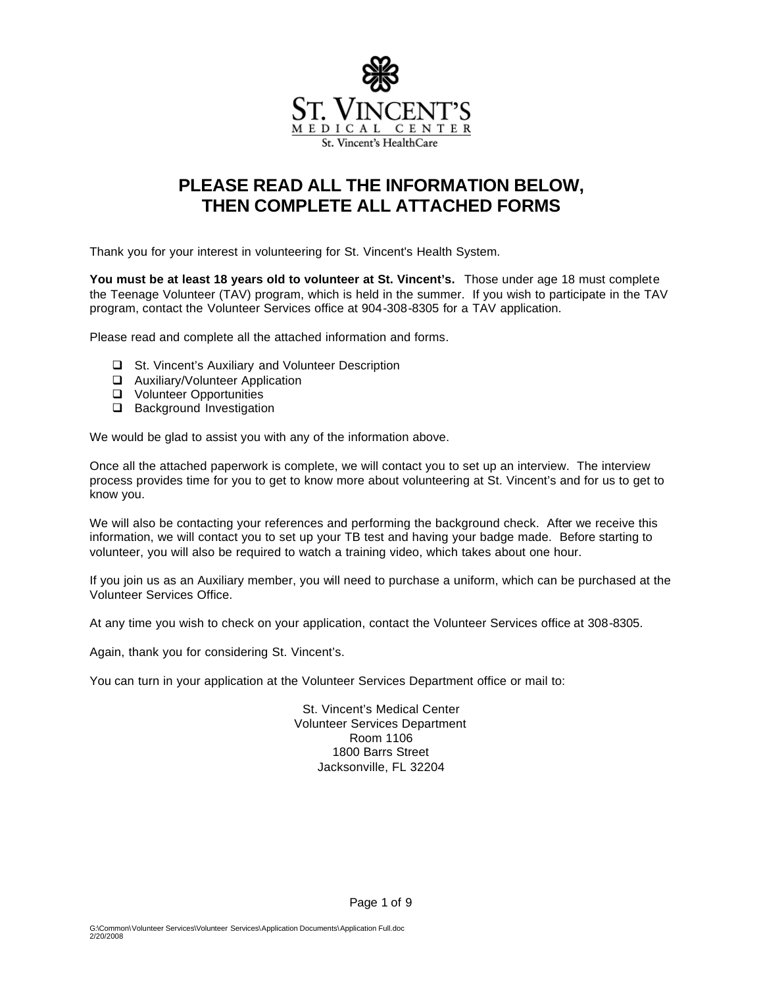

# **PLEASE READ ALL THE INFORMATION BELOW, THEN COMPLETE ALL ATTACHED FORMS**

Thank you for your interest in volunteering for St. Vincent's Health System.

**You must be at least 18 years old to volunteer at St. Vincent's.** Those under age 18 must complete the Teenage Volunteer (TAV) program, which is held in the summer. If you wish to participate in the TAV program, contact the Volunteer Services office at 904-308-8305 for a TAV application.

Please read and complete all the attached information and forms.

- □ St. Vincent's Auxiliary and Volunteer Description
- □ Auxiliary/Volunteer Application
- **Q** Volunteer Opportunities
- □ Background Investigation

We would be glad to assist you with any of the information above.

Once all the attached paperwork is complete, we will contact you to set up an interview. The interview process provides time for you to get to know more about volunteering at St. Vincent's and for us to get to know you.

We will also be contacting your references and performing the background check. After we receive this information, we will contact you to set up your TB test and having your badge made. Before starting to volunteer, you will also be required to watch a training video, which takes about one hour.

If you join us as an Auxiliary member, you will need to purchase a uniform, which can be purchased at the Volunteer Services Office.

At any time you wish to check on your application, contact the Volunteer Services office at 308-8305.

Again, thank you for considering St. Vincent's.

You can turn in your application at the Volunteer Services Department office or mail to:

St. Vincent's Medical Center Volunteer Services Department Room 1106 1800 Barrs Street Jacksonville, FL 32204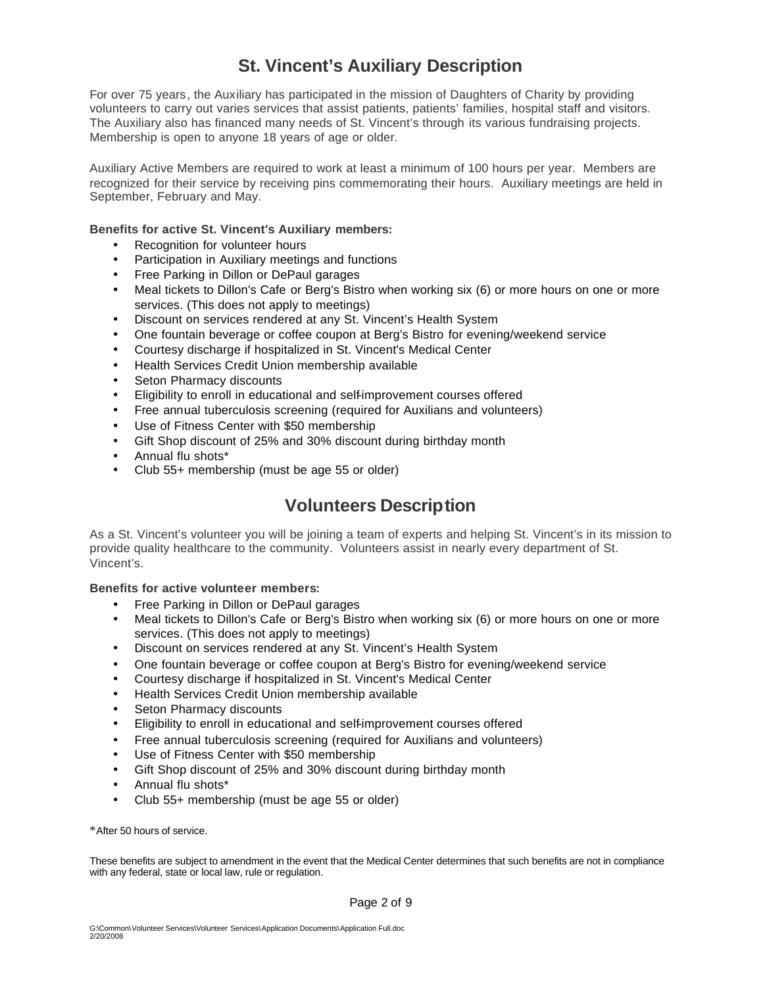# **St. Vincent's Auxiliary Description**

For over 75 years, the Auxiliary has participated in the mission of Daughters of Charity by providing volunteers to carry out varies services that assist patients, patients' families, hospital staff and visitors. The Auxiliary also has financed many needs of St. Vincent's through its various fundraising projects. Membership is open to anyone 18 years of age or older.

Auxiliary Active Members are required to work at least a minimum of 100 hours per year. Members are recognized for their service by receiving pins commemorating their hours. Auxiliary meetings are held in September, February and May.

#### **Benefits for active St. Vincent's Auxiliary members:**

- Recognition for volunteer hours
- Participation in Auxiliary meetings and functions
- Free Parking in Dillon or DePaul garages
- Meal tickets to Dillon's Cafe or Berg's Bistro when working six (6) or more hours on one or more services. (This does not apply to meetings)
- Discount on services rendered at any St. Vincent's Health System
- One fountain beverage or coffee coupon at Berg's Bistro for evening/weekend service
- Courtesy discharge if hospitalized in St. Vincent's Medical Center
- Health Services Credit Union membership available
- Seton Pharmacy discounts
- Eligibility to enroll in educational and self-improvement courses offered
- Free annual tuberculosis screening (required for Auxilians and volunteers)
- Use of Fitness Center with \$50 membership
- Gift Shop discount of 25% and 30% discount during birthday month
- Annual flu shots\*
- Club 55+ membership (must be age 55 or older)

### **Volunteers Description**

As a St. Vincent's volunteer you will be joining a team of experts and helping St. Vincent's in its mission to provide quality healthcare to the community. Volunteers assist in nearly every department of St. Vincent's.

#### **Benefits for active volunteer members:**

- Free Parking in Dillon or DePaul garages
- Meal tickets to Dillon's Cafe or Berg's Bistro when working six (6) or more hours on one or more services. (This does not apply to meetings)
- Discount on services rendered at any St. Vincent's Health System
- One fountain beverage or coffee coupon at Berg's Bistro for evening/weekend service
- Courtesy discharge if hospitalized in St. Vincent's Medical Center
- Health Services Credit Union membership available
- Seton Pharmacy discounts
- Eligibility to enroll in educational and self-improvement courses offered
- Free annual tuberculosis screening (required for Auxilians and volunteers)
- Use of Fitness Center with \$50 membership
- Gift Shop discount of 25% and 30% discount during birthday month
- Annual flu shots\*
- Club 55+ membership (must be age 55 or older)

\*After 50 hours of service.

These benefits are subject to amendment in the event that the Medical Center determines that such benefits are not in compliance with any federal, state or local law, rule or regulation.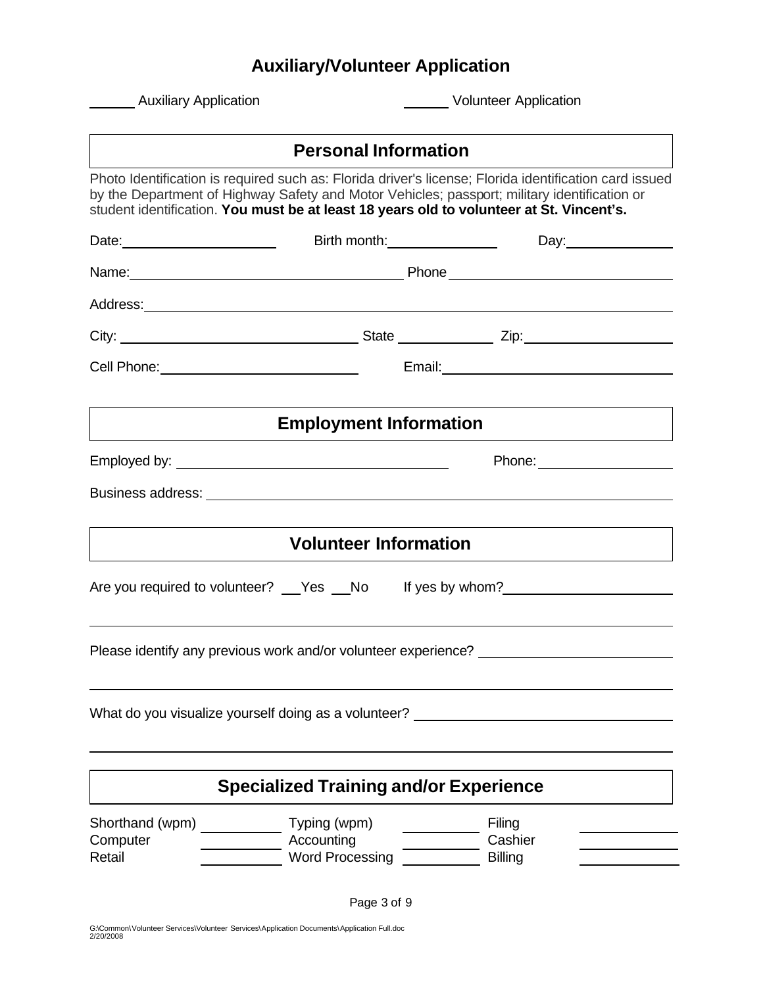# **Auxiliary/Volunteer Application**

| <b>Auxiliary Application</b>                                                                                                                                                                                                                                                                       |                                                      |  | <b>Volunteer Application</b>              |  |  |
|----------------------------------------------------------------------------------------------------------------------------------------------------------------------------------------------------------------------------------------------------------------------------------------------------|------------------------------------------------------|--|-------------------------------------------|--|--|
|                                                                                                                                                                                                                                                                                                    | <b>Personal Information</b>                          |  |                                           |  |  |
| Photo Identification is required such as: Florida driver's license; Florida identification card issued<br>by the Department of Highway Safety and Motor Vehicles; passport; military identification or<br>student identification. You must be at least 18 years old to volunteer at St. Vincent's. |                                                      |  |                                           |  |  |
| Date: 2000                                                                                                                                                                                                                                                                                         |                                                      |  |                                           |  |  |
|                                                                                                                                                                                                                                                                                                    |                                                      |  |                                           |  |  |
| Address: <u>Communications</u> and the Address of Address and The Address of Address and The Address of Address and The Address and The Address of Address and The Address and The Address and The Address and The Address and The                                                                 |                                                      |  |                                           |  |  |
|                                                                                                                                                                                                                                                                                                    |                                                      |  |                                           |  |  |
| Cell Phone: _________________________________                                                                                                                                                                                                                                                      |                                                      |  |                                           |  |  |
|                                                                                                                                                                                                                                                                                                    | <b>Employment Information</b>                        |  |                                           |  |  |
|                                                                                                                                                                                                                                                                                                    |                                                      |  | Phone: ______________________             |  |  |
|                                                                                                                                                                                                                                                                                                    |                                                      |  |                                           |  |  |
|                                                                                                                                                                                                                                                                                                    | <b>Volunteer Information</b>                         |  |                                           |  |  |
| Are you required to volunteer? __ Yes No                                                                                                                                                                                                                                                           |                                                      |  | If yes by whom?<br><u>If</u> yes by whom? |  |  |
| Please identify any previous work and/or volunteer experience? _________________                                                                                                                                                                                                                   |                                                      |  |                                           |  |  |
| What do you visualize yourself doing as a volunteer? ___________________________                                                                                                                                                                                                                   |                                                      |  |                                           |  |  |
|                                                                                                                                                                                                                                                                                                    | <b>Specialized Training and/or Experience</b>        |  |                                           |  |  |
| Shorthand (wpm)<br>Computer<br>Retail                                                                                                                                                                                                                                                              | Typing (wpm)<br>Accounting<br><b>Word Processing</b> |  | Filing<br>Cashier<br><b>Billing</b>       |  |  |
|                                                                                                                                                                                                                                                                                                    |                                                      |  |                                           |  |  |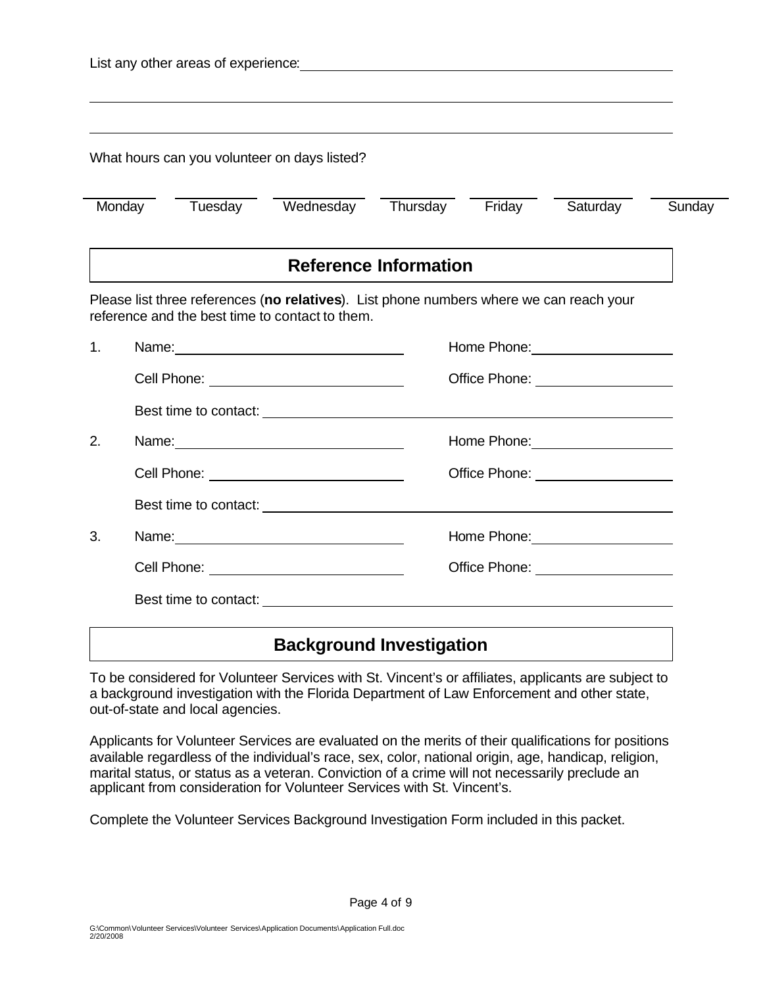|    |  |  | What hours can you volunteer on days listed?                                                                                                                                                                                         |                              |  |                                               |        |
|----|--|--|--------------------------------------------------------------------------------------------------------------------------------------------------------------------------------------------------------------------------------------|------------------------------|--|-----------------------------------------------|--------|
|    |  |  | Monday Tuesday Wednesday Thursday Friday Saturday                                                                                                                                                                                    |                              |  |                                               | Sunday |
|    |  |  |                                                                                                                                                                                                                                      | <b>Reference Information</b> |  |                                               |        |
|    |  |  | Please list three references (no relatives). List phone numbers where we can reach your<br>reference and the best time to contact to them.                                                                                           |                              |  |                                               |        |
| 1. |  |  |                                                                                                                                                                                                                                      |                              |  | Home Phone: Management Communication          |        |
|    |  |  |                                                                                                                                                                                                                                      |                              |  | Office Phone: ____________________            |        |
|    |  |  |                                                                                                                                                                                                                                      |                              |  |                                               |        |
| 2. |  |  |                                                                                                                                                                                                                                      |                              |  |                                               |        |
|    |  |  | Cell Phone: ______________________________                                                                                                                                                                                           |                              |  | Office Phone: ____________________            |        |
|    |  |  |                                                                                                                                                                                                                                      |                              |  |                                               |        |
| 3. |  |  |                                                                                                                                                                                                                                      |                              |  | Home Phone: <u>_____________________</u>      |        |
|    |  |  | Cell Phone: <u>with the contract of the contract of the contract of the contract of the contract of the contract of the contract of the contract of the contract of the contract of the contract of the contract of the contract</u> |                              |  | Office Phone: <u>________________________</u> |        |
|    |  |  | Best time to contact: <u>containing</u>                                                                                                                                                                                              |                              |  |                                               |        |

#### **Background Investigation**

To be considered for Volunteer Services with St. Vincent's or affiliates, applicants are subject to a background investigation with the Florida Department of Law Enforcement and other state, out-of-state and local agencies.

Applicants for Volunteer Services are evaluated on the merits of their qualifications for positions available regardless of the individual's race, sex, color, national origin, age, handicap, religion, marital status, or status as a veteran. Conviction of a crime will not necessarily preclude an applicant from consideration for Volunteer Services with St. Vincent's.

Complete the Volunteer Services Background Investigation Form included in this packet.

 $\overline{\phantom{a}}$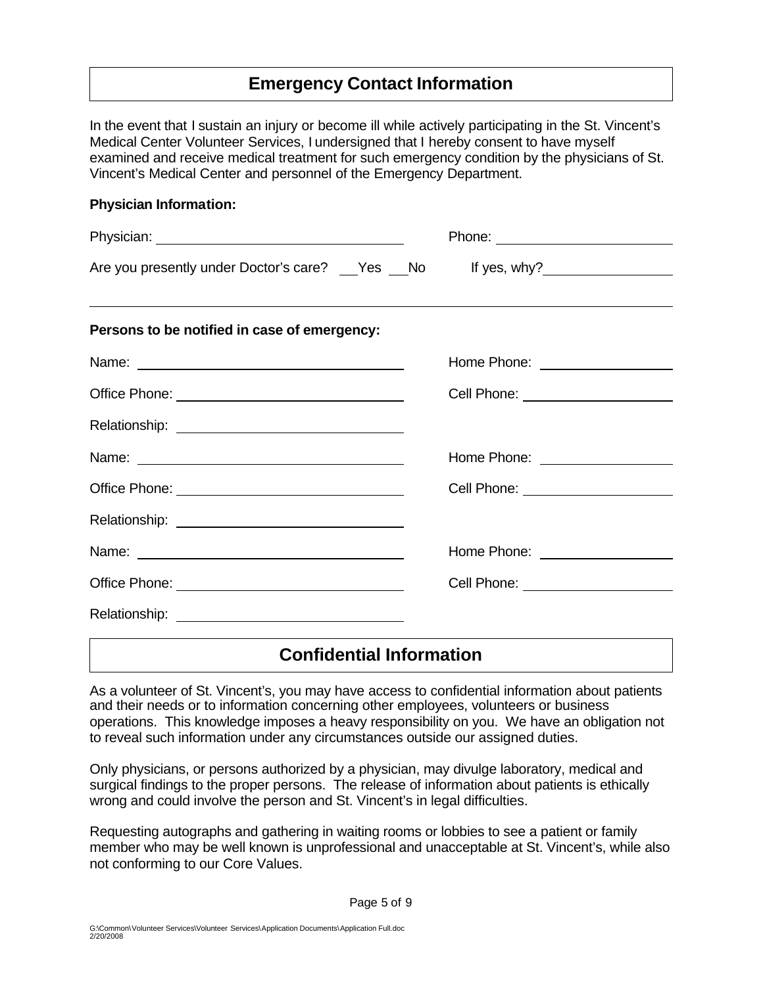# **Emergency Contact Information**

In the event that I sustain an injury or become ill while actively participating in the St. Vincent's Medical Center Volunteer Services, I undersigned that I hereby consent to have myself examined and receive medical treatment for such emergency condition by the physicians of St. Vincent's Medical Center and personnel of the Emergency Department.

**Physician Information:** 

| Are you presently under Doctor's care? __Yes __No lf yes, why? _________________ |                                          |
|----------------------------------------------------------------------------------|------------------------------------------|
| Persons to be notified in case of emergency:                                     |                                          |
|                                                                                  | Home Phone: ___________________          |
|                                                                                  | Cell Phone: <u>www.community.com</u>     |
|                                                                                  |                                          |
|                                                                                  | Home Phone: ___________________          |
|                                                                                  | Cell Phone: <u>_____________________</u> |
|                                                                                  |                                          |
|                                                                                  | Home Phone: <u>____________________</u>  |
|                                                                                  | Cell Phone: <u>www.community.com</u>     |
|                                                                                  |                                          |

### **Confidential Information**

As a volunteer of St. Vincent's, you may have access to confidential information about patients and their needs or to information concerning other employees, volunteers or business operations. This knowledge imposes a heavy responsibility on you. We have an obligation not to reveal such information under any circumstances outside our assigned duties.

Only physicians, or persons authorized by a physician, may divulge laboratory, medical and surgical findings to the proper persons. The release of information about patients is ethically wrong and could involve the person and St. Vincent's in legal difficulties.

Requesting autographs and gathering in waiting rooms or lobbies to see a patient or family member who may be well known is unprofessional and unacceptable at St. Vincent's, while also not conforming to our Core Values.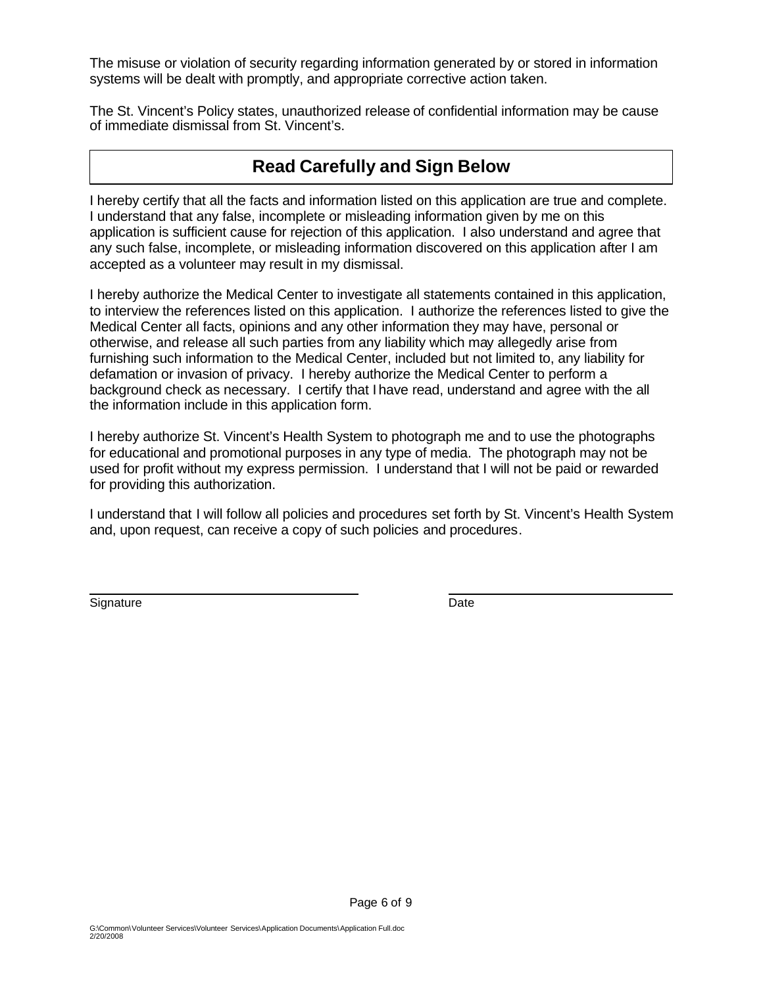The misuse or violation of security regarding information generated by or stored in information systems will be dealt with promptly, and appropriate corrective action taken.

The St. Vincent's Policy states, unauthorized release of confidential information may be cause of immediate dismissal from St. Vincent's.

### **Read Carefully and Sign Below**

I hereby certify that all the facts and information listed on this application are true and complete. I understand that any false, incomplete or misleading information given by me on this application is sufficient cause for rejection of this application. I also understand and agree that any such false, incomplete, or misleading information discovered on this application after I am accepted as a volunteer may result in my dismissal.

I hereby authorize the Medical Center to investigate all statements contained in this application, to interview the references listed on this application. I authorize the references listed to give the Medical Center all facts, opinions and any other information they may have, personal or otherwise, and release all such parties from any liability which may allegedly arise from furnishing such information to the Medical Center, included but not limited to, any liability for defamation or invasion of privacy. I hereby authorize the Medical Center to perform a background check as necessary. I certify that I have read, understand and agree with the all the information include in this application form.

I hereby authorize St. Vincent's Health System to photograph me and to use the photographs for educational and promotional purposes in any type of media. The photograph may not be used for profit without my express permission. I understand that I will not be paid or rewarded for providing this authorization.

I understand that I will follow all policies and procedures set forth by St. Vincent's Health System and, upon request, can receive a copy of such policies and procedures.

Signature Date **Date** 

 $\overline{\phantom{a}}$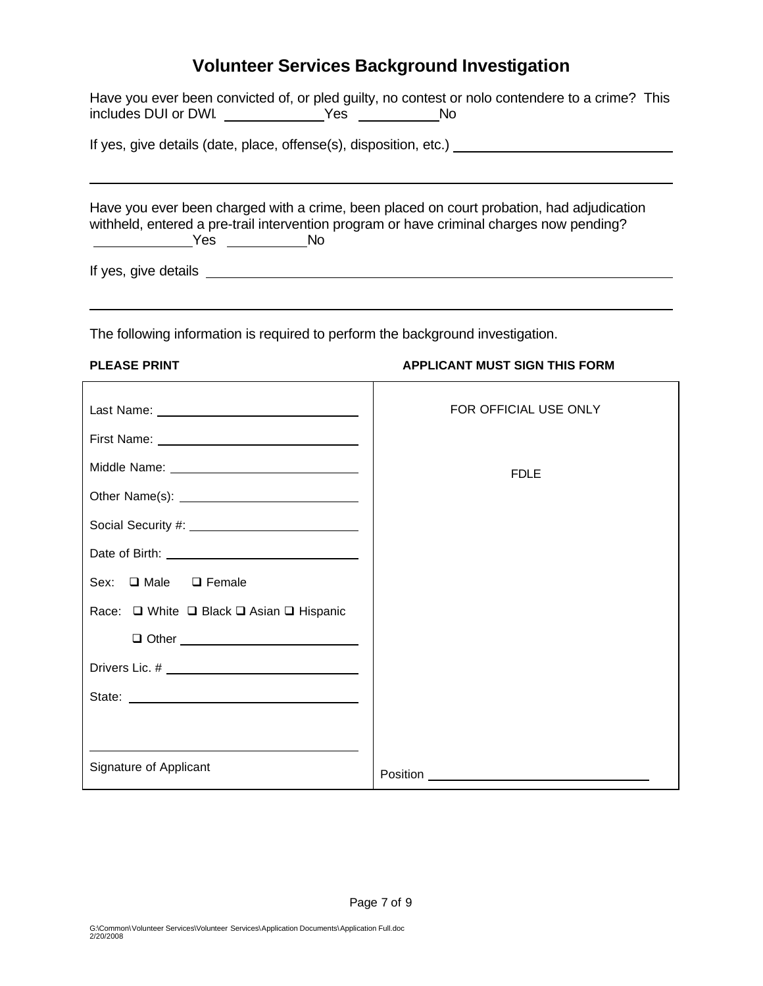# **Volunteer Services Background Investigation**

|                                                                                                                                                                                                                             | Have you ever been convicted of, or pled guilty, no contest or nolo contendere to a crime? This                |
|-----------------------------------------------------------------------------------------------------------------------------------------------------------------------------------------------------------------------------|----------------------------------------------------------------------------------------------------------------|
|                                                                                                                                                                                                                             | If yes, give details (date, place, offense(s), disposition, etc.) [18] [2010] [2010] [2010] [30] [30] [30] [30 |
| Have you ever been charged with a crime, been placed on court probation, had adjudication<br>withheld, entered a pre-trail intervention program or have criminal charges now pending?<br>________________Yes ____________No |                                                                                                                |
|                                                                                                                                                                                                                             |                                                                                                                |
| The following information is required to perform the background investigation.                                                                                                                                              |                                                                                                                |
| <b>PLEASE PRINT</b>                                                                                                                                                                                                         | <b>APPLICANT MUST SIGN THIS FORM</b>                                                                           |
|                                                                                                                                                                                                                             | FOR OFFICIAL USE ONLY                                                                                          |
|                                                                                                                                                                                                                             |                                                                                                                |
|                                                                                                                                                                                                                             | <b>FDLE</b>                                                                                                    |
|                                                                                                                                                                                                                             |                                                                                                                |
|                                                                                                                                                                                                                             |                                                                                                                |
|                                                                                                                                                                                                                             |                                                                                                                |
| $\Box$ Male<br>Sex:<br>$\Box$ Female                                                                                                                                                                                        |                                                                                                                |
| Race: □ White □ Black □ Asian □ Hispanic                                                                                                                                                                                    |                                                                                                                |
|                                                                                                                                                                                                                             |                                                                                                                |
|                                                                                                                                                                                                                             |                                                                                                                |
|                                                                                                                                                                                                                             |                                                                                                                |
| Signature of Applicant                                                                                                                                                                                                      | Position                                                                                                       |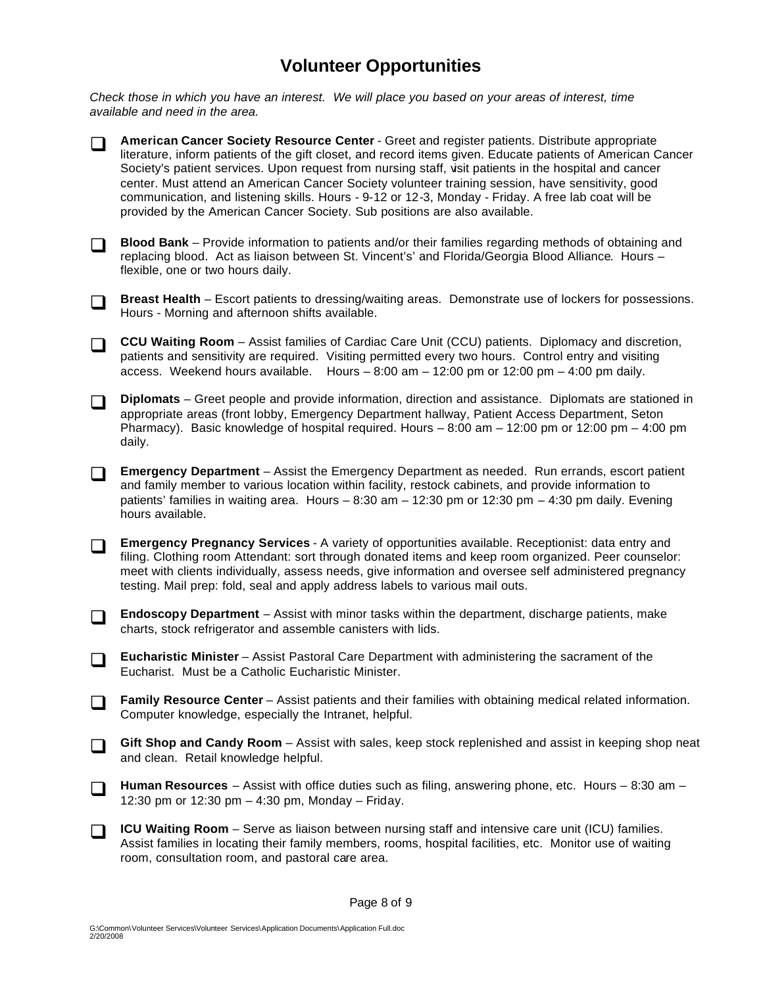# **Volunteer Opportunities**

*Check those in which you have an interest. We will place you based on your areas of interest, time available and need in the area.*



- **Blood Bank** Provide information to patients and/or their families regarding methods of obtaining and replacing blood. Act as liaison between St. Vincent's' and Florida/Georgia Blood Alliance. Hours – flexible, one or two hours daily.
- **Breast Health** Escort patients to dressing/waiting areas. Demonstrate use of lockers for possessions. Hours - Morning and afternoon shifts available.
- **CCU Waiting Room** Assist families of Cardiac Care Unit (CCU) patients. Diplomacy and discretion, patients and sensitivity are required. Visiting permitted every two hours. Control entry and visiting access. Weekend hours available. Hours  $-8:00$  am  $-12:00$  pm or 12:00 pm  $-4:00$  pm daily.
- **Diplomats** Greet people and provide information, direction and assistance. Diplomats are stationed in appropriate areas (front lobby, Emergency Department hallway, Patient Access Department, Seton Pharmacy). Basic knowledge of hospital required. Hours  $-8:00$  am  $-12:00$  pm or 12:00 pm  $-4:00$  pm daily.
- **T** Emergency Department Assist the Emergency Department as needed. Run errands, escort patient and family member to various location within facility, restock cabinets, and provide information to patients' families in waiting area. Hours – 8:30 am – 12:30 pm or 12:30 pm – 4:30 pm daily. Evening hours available.
- **Emergency Pregnancy Services** A variety of opportunities available. Receptionist: data entry and filing. Clothing room Attendant: sort through donated items and keep room organized. Peer counselor: meet with clients individually, assess needs, give information and oversee self administered pregnancy testing. Mail prep: fold, seal and apply address labels to various mail outs.
- **T** Endoscopy Department Assist with minor tasks within the department, discharge patients, make charts, stock refrigerator and assemble canisters with lids.
- **T** Eucharistic Minister Assist Pastoral Care Department with administering the sacrament of the Eucharist. Must be a Catholic Eucharistic Minister.
- **T** Family Resource Center Assist patients and their families with obtaining medical related information. Computer knowledge, especially the Intranet, helpful.
- **Gift Shop and Candy Room** Assist with sales, keep stock replenished and assist in keeping shop neat and clean. Retail knowledge helpful.
- □ Human Resources Assist with office duties such as filing, answering phone, etc. Hours 8:30 am 12:30 pm or 12:30 pm – 4:30 pm, Monday – Friday.
- **ICU Waiting Room** Serve as liaison between nursing staff and intensive care unit (ICU) families. Assist families in locating their family members, rooms, hospital facilities, etc. Monitor use of waiting room, consultation room, and pastoral care area.